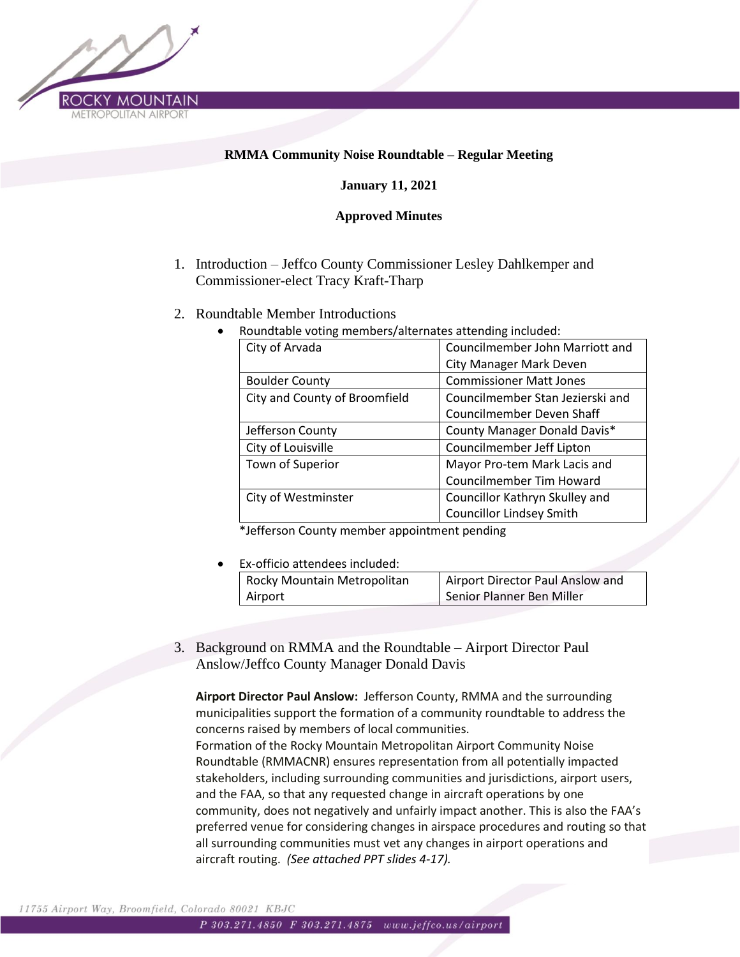

# **RMMA Community Noise Roundtable – Regular Meeting**

## **January 11, 2021**

### **Approved Minutes**

- 1. Introduction Jeffco County Commissioner Lesley Dahlkemper and Commissioner-elect Tracy Kraft-Tharp
- 2. Roundtable Member Introductions
	- Roundtable voting members/alternates attending included:

| City of Arvada                | Councilmember John Marriott and  |
|-------------------------------|----------------------------------|
|                               | <b>City Manager Mark Deven</b>   |
| <b>Boulder County</b>         | <b>Commissioner Matt Jones</b>   |
| City and County of Broomfield | Councilmember Stan Jezierski and |
|                               | Councilmember Deven Shaff        |
| Jefferson County              | County Manager Donald Davis*     |
| City of Louisville            | Councilmember Jeff Lipton        |
| Town of Superior              | Mayor Pro-tem Mark Lacis and     |
|                               | <b>Councilmember Tim Howard</b>  |
| City of Westminster           | Councillor Kathryn Skulley and   |
|                               | <b>Councillor Lindsey Smith</b>  |

\*Jefferson County member appointment pending

• Ex-officio attendees included:

| Rocky Mountain Metropolitan | Airport Director Paul Anslow and |
|-----------------------------|----------------------------------|
| Airport                     | Senior Planner Ben Miller        |

3. Background on RMMA and the Roundtable – Airport Director Paul Anslow/Jeffco County Manager Donald Davis

**Airport Director Paul Anslow:** Jefferson County, RMMA and the surrounding municipalities support the formation of a community roundtable to address the concerns raised by members of local communities. Formation of the Rocky Mountain Metropolitan Airport Community Noise Roundtable (RMMACNR) ensures representation from all potentially impacted stakeholders, including surrounding communities and jurisdictions, airport users, and the FAA, so that any requested change in aircraft operations by one community, does not negatively and unfairly impact another. This is also the FAA's preferred venue for considering changes in airspace procedures and routing so that all surrounding communities must vet any changes in airport operations and aircraft routing. *(See attached PPT slides 4-17).*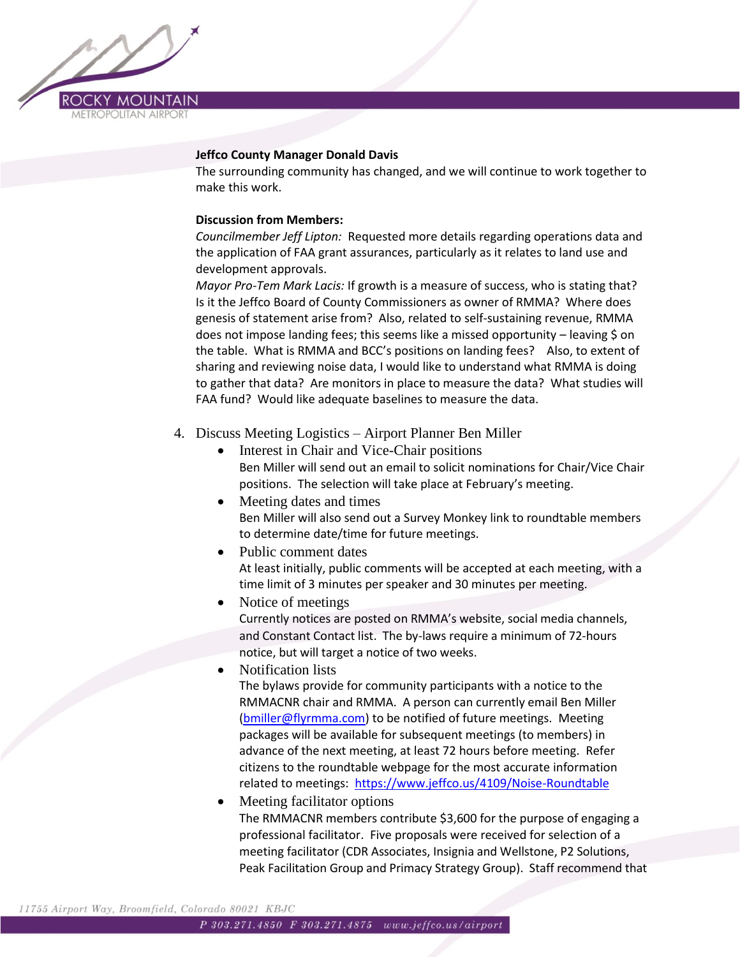

#### **Jeffco County Manager Donald Davis**

The surrounding community has changed, and we will continue to work together to make this work.

#### **Discussion from Members:**

*Councilmember Jeff Lipton:* Requested more details regarding operations data and the application of FAA grant assurances, particularly as it relates to land use and development approvals.

*Mayor Pro-Tem Mark Lacis:* If growth is a measure of success, who is stating that? Is it the Jeffco Board of County Commissioners as owner of RMMA? Where does genesis of statement arise from? Also, related to self-sustaining revenue, RMMA does not impose landing fees; this seems like a missed opportunity – leaving \$ on the table. What is RMMA and BCC's positions on landing fees? Also, to extent of sharing and reviewing noise data, I would like to understand what RMMA is doing to gather that data? Are monitors in place to measure the data? What studies will FAA fund? Would like adequate baselines to measure the data.

- 4. Discuss Meeting Logistics Airport Planner Ben Miller
	- Interest in Chair and Vice-Chair positions Ben Miller will send out an email to solicit nominations for Chair/Vice Chair positions. The selection will take place at February's meeting.
	- Meeting dates and times Ben Miller will also send out a Survey Monkey link to roundtable members to determine date/time for future meetings.
	- Public comment dates At least initially, public comments will be accepted at each meeting, with a time limit of 3 minutes per speaker and 30 minutes per meeting.
	- Notice of meetings Currently notices are posted on RMMA's website, social media channels, and Constant Contact list. The by-laws require a minimum of 72-hours notice, but will target a notice of two weeks.
		- Notification lists The bylaws provide for community participants with a notice to the RMMACNR chair and RMMA. A person can currently email Ben Miller [\(bmiller@flyrmma.com\)](mailto:bmiller@flyrmma.com) to be notified of future meetings. Meeting packages will be available for subsequent meetings (to members) in advance of the next meeting, at least 72 hours before meeting. Refer citizens to the roundtable webpage for the most accurate information related to meetings:<https://www.jeffco.us/4109/Noise-Roundtable>
	- Meeting facilitator options The RMMACNR members contribute \$3,600 for the purpose of engaging a professional facilitator. Five proposals were received for selection of a meeting facilitator (CDR Associates, Insignia and Wellstone, P2 Solutions, Peak Facilitation Group and Primacy Strategy Group). Staff recommend that